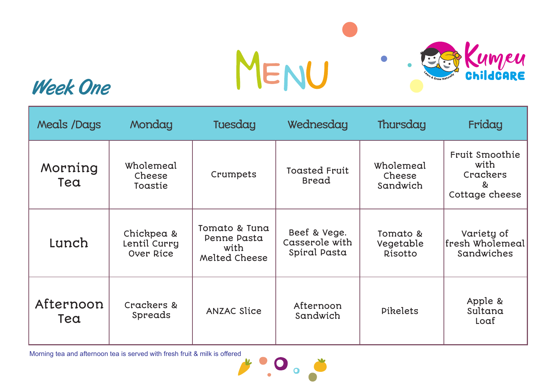

## Week One

| Meals /Days      | Monday                                  | Tuesday                                               | Wednesday                                      | Thursday                         | Friday                                                    |
|------------------|-----------------------------------------|-------------------------------------------------------|------------------------------------------------|----------------------------------|-----------------------------------------------------------|
| Morning<br>Tea   | Wholemeal<br>Cheese<br>Toastie          | Crumpets                                              | <b>Toasted Fruit</b><br><b>Bread</b>           | Wholemeal<br>Cheese<br>Sandwich  | Fruit Smoothie<br>with<br>Crackers<br>&<br>Cottage cheese |
| Lunch            | Chickpea &<br>Lentil Curry<br>Over Rice | Tomato & Tuna<br>Penne Pasta<br>with<br>Melted Cheese | Beef & Vege.<br>Casserole with<br>Spiral Pasta | Tomato &<br>Vegetable<br>Risotto | Variety of<br>fresh Wholemeal<br>Sandwiches               |
| Afternoon<br>Tea | Crackers &<br>Spreads                   | <b>ANZAC Slice</b>                                    | Afternoon<br>Sandwich                          | Pikelets                         | Apple &<br>Sultana<br>Loaf                                |

 $\bullet$  .  $\bullet$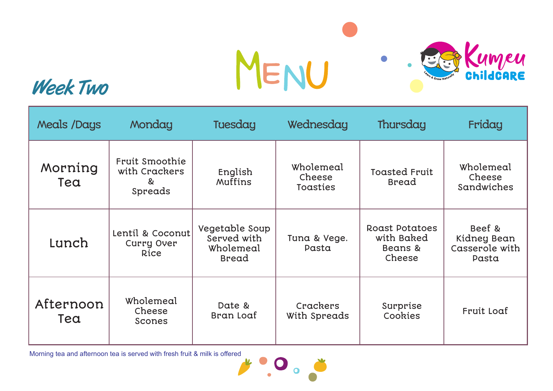

## Week Two

| Meals /Days      | Monday                                          | Tuesday                                                    | Wednesday                       | Thursday                                                 | Friday                                           |
|------------------|-------------------------------------------------|------------------------------------------------------------|---------------------------------|----------------------------------------------------------|--------------------------------------------------|
| Morning<br>Tea   | Fruit Smoothie<br>with Crackers<br>&<br>Spreads | English<br>Muffins                                         | Wholemeal<br>Cheese<br>Toasties | <b>Toasted Fruit</b><br><b>Bread</b>                     | Wholemeal<br>Cheese<br>Sandwiches                |
| Lunch            | Lentil & Coconut<br>Curry Over<br>Rice          | Vegetable Soup<br>Served with<br>Wholemeal<br><b>Bread</b> | Tuna & Vege.<br>Pasta           | <b>Roast Potatoes</b><br>with Baked<br>Beans &<br>Cheese | Beef &<br>Kidney Bean<br>Casserole with<br>Pasta |
| Afternoon<br>Tea | Wholemeal<br>Cheese<br>Scones                   | Date &<br>Bran Loaf                                        | Crackers<br>With Spreads        | Surprise<br>Cookies                                      | Fruit Loaf                                       |

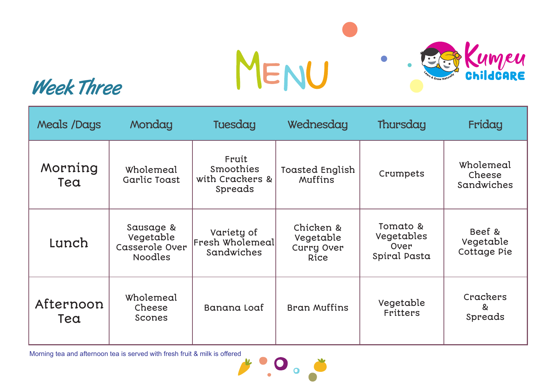

## Week Three

| Meals /Days      | Monday                                                     | Tuesday                                          | Wednesday                                    | Thursday                                       | Friday                             |
|------------------|------------------------------------------------------------|--------------------------------------------------|----------------------------------------------|------------------------------------------------|------------------------------------|
| Morning<br>Tea   | Wholemeal<br>Garlic Toast                                  | Fruit<br>Smoothies<br>with Crackers &<br>Spreads | Toasted English<br>Muffins                   | Crumpets                                       | Wholemeal<br>Cheese<br>Sandwiches  |
| Lunch            | Sausage &<br>Vegetable<br>Casserole Over<br><b>Noodles</b> | Variety of<br>Fresh Wholemeal<br>Sandwiches      | Chicken &<br>Vegetable<br>Curry Over<br>Rice | Tomato &<br>Vegetables<br>Over<br>Spiral Pasta | Beef &<br>Vegetable<br>Cottage Pie |
| Afternoon<br>Tea | Wholemeal<br>Cheese<br>Scones                              | Banana Loaf                                      | Bran Muffins                                 | Vegetable<br><b>Fritters</b>                   | Crackers<br>&<br>Spreads           |